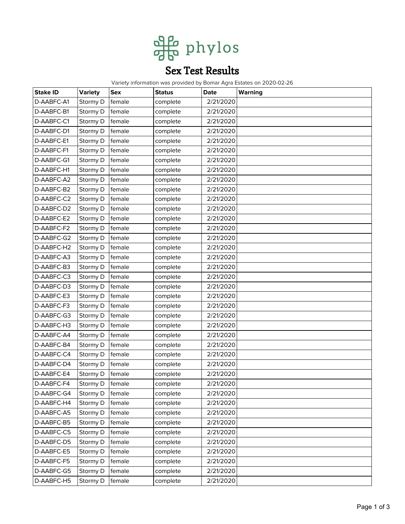

## Sex Test Results

Variety information was provided by Bomar Agra Estates on 2020-02-26

| <b>Stake ID</b> | <b>Variety</b> | <b>Sex</b> | <b>Status</b> | Date      | Warning |
|-----------------|----------------|------------|---------------|-----------|---------|
| D-AABFC-A1      | Stormy D       | female     | complete      | 2/21/2020 |         |
| D-AABFC-B1      | Stormy D       | female     | complete      | 2/21/2020 |         |
| D-AABFC-C1      | Stormy D       | female     | complete      | 2/21/2020 |         |
| D-AABFC-D1      | Stormy D       | female     | complete      | 2/21/2020 |         |
| D-AABFC-E1      | Stormy D       | female     | complete      | 2/21/2020 |         |
| D-AABFC-F1      | Stormy D       | female     | complete      | 2/21/2020 |         |
| D-AABFC-G1      | Stormy D       | female     | complete      | 2/21/2020 |         |
| D-AABFC-H1      | Stormy D       | female     | complete      | 2/21/2020 |         |
| D-AABFC-A2      | Stormy D       | female     | complete      | 2/21/2020 |         |
| D-AABFC-B2      | Stormy D       | female     | complete      | 2/21/2020 |         |
| D-AABFC-C2      | Stormy D       | female     | complete      | 2/21/2020 |         |
| D-AABFC-D2      | Stormy D       | female     | complete      | 2/21/2020 |         |
| D-AABFC-E2      | Stormy D       | female     | complete      | 2/21/2020 |         |
| D-AABFC-F2      | Stormy D       | female     | complete      | 2/21/2020 |         |
| D-AABFC-G2      | Stormy D       | female     | complete      | 2/21/2020 |         |
| D-AABFC-H2      | Stormy D       | female     | complete      | 2/21/2020 |         |
| D-AABFC-A3      | Stormy D       | female     | complete      | 2/21/2020 |         |
| D-AABFC-B3      | Stormy D       | female     | complete      | 2/21/2020 |         |
| D-AABFC-C3      | Stormy D       | female     | complete      | 2/21/2020 |         |
| D-AABFC-D3      | Stormy D       | female     | complete      | 2/21/2020 |         |
| D-AABFC-E3      | Stormy D       | female     | complete      | 2/21/2020 |         |
| D-AABFC-F3      | Stormy D       | female     | complete      | 2/21/2020 |         |
| D-AABFC-G3      | Stormy D       | female     | complete      | 2/21/2020 |         |
| D-AABFC-H3      | Stormy D       | female     | complete      | 2/21/2020 |         |
| D-AABFC-A4      | Stormy D       | female     | complete      | 2/21/2020 |         |
| D-AABFC-B4      | Stormy D       | female     | complete      | 2/21/2020 |         |
| D-AABFC-C4      | Stormy D       | female     | complete      | 2/21/2020 |         |
| D-AABFC-D4      | Stormy D       | female     | complete      | 2/21/2020 |         |
| D-AABFC-E4      | Stormy D       | female     | complete      | 2/21/2020 |         |
| D-AABFC-F4      | Stormy D       | female     | complete      | 2/21/2020 |         |
| D-AABFC-G4      | Stormy D       | female     | complete      | 2/21/2020 |         |
| D-AABFC-H4      | Stormy D       | female     | complete      | 2/21/2020 |         |
| D-AABFC-A5      | Stormy D       | female     | complete      | 2/21/2020 |         |
| D-AABFC-B5      | Stormy D       | female     | complete      | 2/21/2020 |         |
| D-AABFC-C5      | Stormy D       | female     | complete      | 2/21/2020 |         |
| D-AABFC-D5      | Stormy D       | female     | complete      | 2/21/2020 |         |
| D-AABFC-E5      | Stormy D       | female     | complete      | 2/21/2020 |         |
| D-AABFC-F5      | Stormy D       | female     | complete      | 2/21/2020 |         |
| D-AABFC-G5      | Stormy D       | female     | complete      | 2/21/2020 |         |
| D-AABFC-H5      | Stormy D       | female     | complete      | 2/21/2020 |         |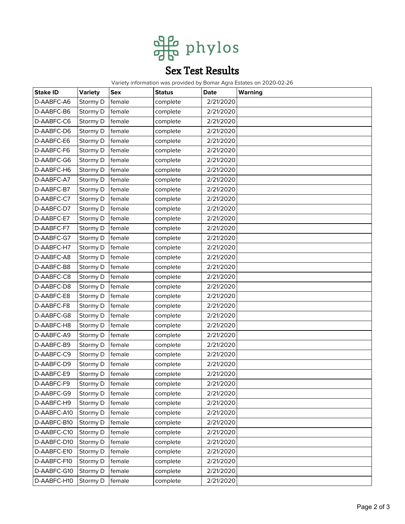

## Sex Test Results

Variety information was provided by Bomar Agra Estates on 2020-02-26

| <b>Stake ID</b> | <b>Variety</b> | <b>Sex</b> | <b>Status</b> | Date      | Warning |
|-----------------|----------------|------------|---------------|-----------|---------|
| D-AABFC-A6      | Stormy D       | female     | complete      | 2/21/2020 |         |
| D-AABFC-B6      | Stormy D       | female     | complete      | 2/21/2020 |         |
| D-AABFC-C6      | Stormy D       | female     | complete      | 2/21/2020 |         |
| D-AABFC-D6      | Stormy D       | female     | complete      | 2/21/2020 |         |
| D-AABFC-E6      | Stormy D       | female     | complete      | 2/21/2020 |         |
| D-AABFC-F6      | Stormy D       | female     | complete      | 2/21/2020 |         |
| D-AABFC-G6      | Stormy D       | female     | complete      | 2/21/2020 |         |
| D-AABFC-H6      | Stormy D       | female     | complete      | 2/21/2020 |         |
| D-AABFC-A7      | Stormy D       | female     | complete      | 2/21/2020 |         |
| D-AABFC-B7      | Stormy D       | female     | complete      | 2/21/2020 |         |
| D-AABFC-C7      | Stormy D       | female     | complete      | 2/21/2020 |         |
| D-AABFC-D7      | Stormy D       | female     | complete      | 2/21/2020 |         |
| D-AABFC-E7      | Stormy D       | female     | complete      | 2/21/2020 |         |
| D-AABFC-F7      | Stormy D       | female     | complete      | 2/21/2020 |         |
| D-AABFC-G7      | Stormy D       | female     | complete      | 2/21/2020 |         |
| D-AABFC-H7      | Stormy D       | female     | complete      | 2/21/2020 |         |
| D-AABFC-A8      | Stormy D       | female     | complete      | 2/21/2020 |         |
| D-AABFC-B8      | Stormy D       | female     | complete      | 2/21/2020 |         |
| D-AABFC-C8      | Stormy D       | female     | complete      | 2/21/2020 |         |
| D-AABFC-D8      | Stormy D       | female     | complete      | 2/21/2020 |         |
| D-AABFC-E8      | Stormy D       | female     | complete      | 2/21/2020 |         |
| D-AABFC-F8      | Stormy D       | female     | complete      | 2/21/2020 |         |
| D-AABFC-G8      | Stormy D       | female     | complete      | 2/21/2020 |         |
| D-AABFC-H8      | Stormy D       | female     | complete      | 2/21/2020 |         |
| D-AABFC-A9      | Stormy D       | female     | complete      | 2/21/2020 |         |
| D-AABFC-B9      | Stormy D       | female     | complete      | 2/21/2020 |         |
| D-AABFC-C9      | Stormy D       | female     | complete      | 2/21/2020 |         |
| D-AABFC-D9      | Stormy D       | female     | complete      | 2/21/2020 |         |
| D-AABFC-E9      | Stormy D       | female     | complete      | 2/21/2020 |         |
| D-AABFC-F9      | Stormy D       | female     | complete      | 2/21/2020 |         |
| D-AABFC-G9      | Stormy D       | female     | complete      | 2/21/2020 |         |
| D-AABFC-H9      | Stormy D       | female     | complete      | 2/21/2020 |         |
| D-AABFC-A10     | Stormy D       | female     | complete      | 2/21/2020 |         |
| D-AABFC-B10     | Stormy D       | female     | complete      | 2/21/2020 |         |
| D-AABFC-C10     | Stormy D       | female     | complete      | 2/21/2020 |         |
| D-AABFC-D10     | Stormy D       | female     | complete      | 2/21/2020 |         |
| D-AABFC-E10     | Stormy D       | female     | complete      | 2/21/2020 |         |
| D-AABFC-F10     | Stormy D       | female     | complete      | 2/21/2020 |         |
| D-AABFC-G10     | Stormy D       | female     | complete      | 2/21/2020 |         |
| D-AABFC-H10     | Stormy D       | female     | complete      | 2/21/2020 |         |